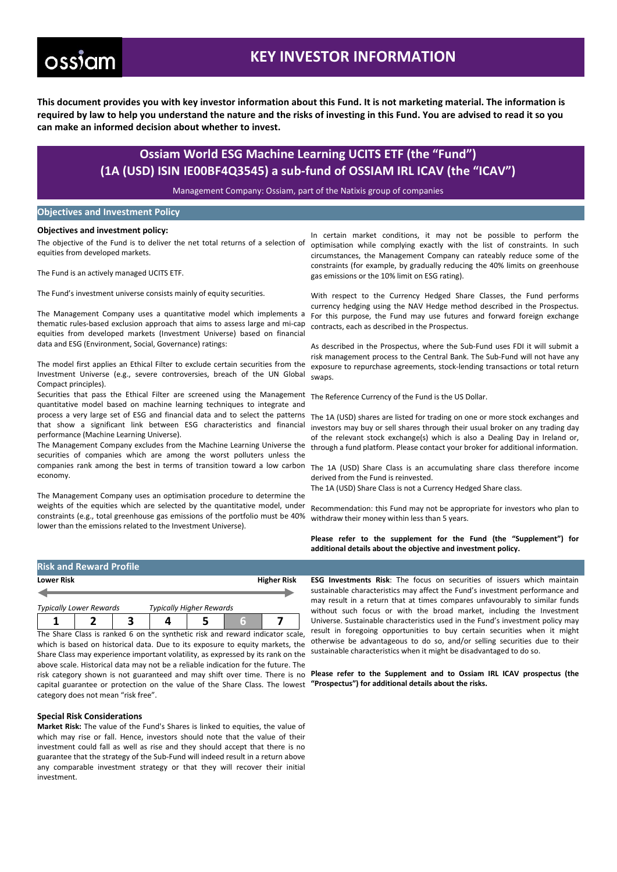# ossiam

## **KEY INVESTOR INFORMATION**

**This document provides you with key investor information about this Fund. It is not marketing material. The information is required by law to help you understand the nature and the risks of investing in this Fund. You are advised to read it so you can make an informed decision about whether to invest.**

### **Ossiam World ESG Machine Learning UCITS ETF (the "Fund") (1A (USD) ISIN IE00BF4Q3545) a sub-fund of OSSIAM IRL ICAV (the "ICAV")**

Management Company: Ossiam, part of the Natixis group of companies

### **Objectives and Investment Policy**

#### **Objectives and investment policy:**

The objective of the Fund is to deliver the net total returns of a selection of equities from developed markets.

The Fund is an actively managed UCITS ETF.

The Fund's investment universe consists mainly of equity securities.

The Management Company uses a quantitative model which implements a thematic rules-based exclusion approach that aims to assess large and mi-cap equities from developed markets (Investment Universe) based on financial data and ESG (Environment, Social, Governance) ratings:

The model first applies an Ethical Filter to exclude certain securities from the Investment Universe (e.g., severe controversies, breach of the UN Global Compact principles).

Securities that pass the Ethical Filter are screened using the Management quantitative model based on machine learning techniques to integrate and process a very large set of ESG and financial data and to select the patterns The 1A (USD) shares are listed for trading on one or more stock exchanges and that show a significant link between ESG characteristics and financial performance (Machine Learning Universe).

The Management Company excludes from the Machine Learning Universe the through a fund platform. Please contact your broker for additional information. securities of companies which are among the worst polluters unless the companies rank among the best in terms of transition toward a low carbon economy.

The Management Company uses an optimisation procedure to determine the weights of the equities which are selected by the quantitative model, under constraints (e.g., total greenhouse gas emissions of the portfolio must be 40% lower than the emissions related to the Investment Universe).

In certain market conditions, it may not be possible to perform the optimisation while complying exactly with the list of constraints. In such circumstances, the Management Company can rateably reduce some of the constraints (for example, by gradually reducing the 40% limits on greenhouse gas emissions or the 10% limit on ESG rating).

With respect to the Currency Hedged Share Classes, the Fund performs currency hedging using the NAV Hedge method described in the Prospectus. For this purpose, the Fund may use futures and forward foreign exchange contracts, each as described in the Prospectus.

As described in the Prospectus, where the Sub-Fund uses FDI it will submit a risk management process to the Central Bank. The Sub-Fund will not have any exposure to repurchase agreements, stock-lending transactions or total return swaps.

The Reference Currency of the Fund is the US Dollar.

investors may buy or sell shares through their usual broker on any trading day of the relevant stock exchange(s) which is also a Dealing Day in Ireland or,

The 1A (USD) Share Class is an accumulating share class therefore income derived from the Fund is reinvested.

The 1A (USD) Share Class is not a Currency Hedged Share class.

Recommendation: this Fund may not be appropriate for investors who plan to withdraw their money within less than 5 years.

**Please refer to the supplement for the Fund (the "Supplement") for additional details about the objective and investment policy.**

| <b>Risk and Reward Profile</b> |                                 |                    |
|--------------------------------|---------------------------------|--------------------|
| <b>Lower Risk</b>              |                                 | <b>Higher Risk</b> |
|                                |                                 |                    |
| <b>Typically Lower Rewards</b> | <b>Typically Higher Rewards</b> |                    |

| The Share Class is ranked 6 on the synthetic risk and reward indicator scale, |  |  |  |  |  |  |
|-------------------------------------------------------------------------------|--|--|--|--|--|--|

which is based on historical data. Due to its exposure to equity markets, the Share Class may experience important volatility, as expressed by its rank on the above scale. Historical data may not be a reliable indication for the future. The risk category shown is not guaranteed and may shift over time. There is no **Please refer to the Supplement and to Ossiam IRL ICAV prospectus (the** capital guarantee or protection on the value of the Share Class. The lowest category does not mean "risk free".

#### **Special Risk Considerations**

**Market Risk:** The value of the Fund's Shares is linked to equities, the value of which may rise or fall. Hence, investors should note that the value of their investment could fall as well as rise and they should accept that there is no guarantee that the strategy of the Sub-Fund will indeed result in a return above any comparable investment strategy or that they will recover their initial investment.

**ESG Investments Risk**: The focus on securities of issuers which maintain sustainable characteristics may affect the Fund's investment performance and may result in a return that at times compares unfavourably to similar funds without such focus or with the broad market, including the Investment Universe. Sustainable characteristics used in the Fund's investment policy may result in foregoing opportunities to buy certain securities when it might otherwise be advantageous to do so, and/or selling securities due to their sustainable characteristics when it might be disadvantaged to do so.

**"Prospectus") for additional details about the risks.**